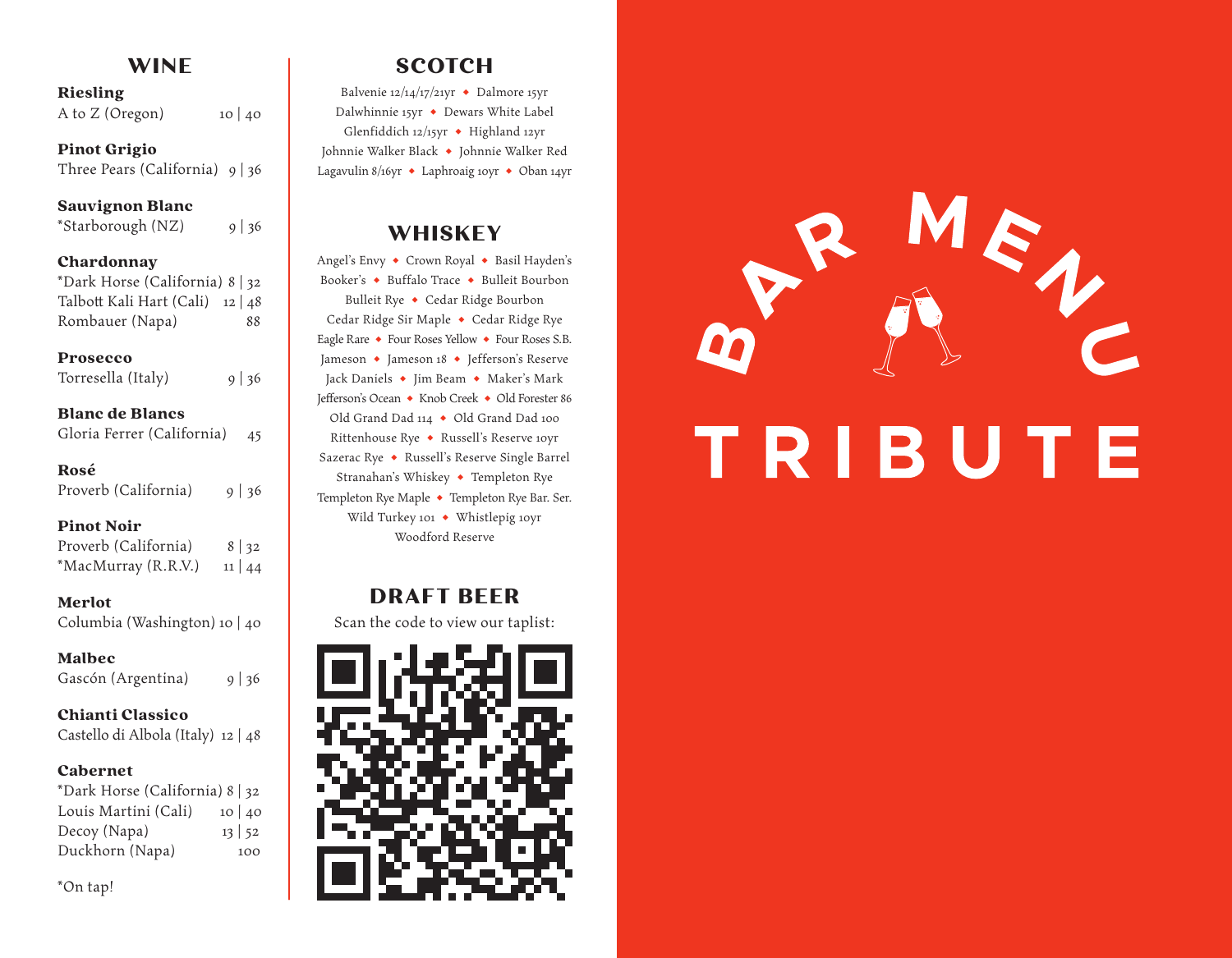# **WINE**

### Riesling

A to  $Z$  (Oregon) 10 | 40

#### Pinot Grigio

Three Pears (California) 9 | 36

### Sauvignon Blanc

\*Starborough  $(NZ)$  9 | 36

#### Chardonnay

| *Dark Horse (California) 8   32  |    |
|----------------------------------|----|
| Talbott Kali Hart (Cali) 12   48 |    |
| Rombauer (Napa)                  | 88 |

#### Prosecco

| Torresella (Italy) | $9 \mid 36$ |
|--------------------|-------------|
|--------------------|-------------|

### Blanc de Blancs

| Gloria Ferrer (California) |  | 45 |
|----------------------------|--|----|
|----------------------------|--|----|

### Rosé

|  | Proverb (California) |  | $9 \mid 36$ |
|--|----------------------|--|-------------|
|--|----------------------|--|-------------|

### Pinot Noir

| Proverb (California) | $8 \mid 32$  |
|----------------------|--------------|
| *MacMurray (R.R.V.)  | $11 \mid 44$ |

### Merlot

Columbia (Washington) 10 | 40

### Malbec

Gascón (Argentina) 9 | 36

### Chianti Classico

Castello di Albola (Italy) 12 | 48

### Cabernet

| *Dark Horse (California) 8   32 |              |
|---------------------------------|--------------|
| Louis Martini (Cali)            | 10 40        |
| Decoy (Napa)                    | $13 \mid 52$ |
| Duckhorn (Napa)                 | 100          |

\*On tap!

# **SCOTCH**

Balvenie 12/14/17/21yr  $\bullet$  Dalmore 15yr Dalwhinnie 15yr • Dewars White Label Glenfiddich 12/15yr + Highland 12yr Johnnie Walker Black • Johnnie Walker Red Lagavulin 8/16yr  $\bullet$  Laphroaig 10yr  $\bullet$  Oban 14yr

## **WHISKEY**

Angel's Envy • Crown Royal • Basil Hayden's Booker's • Buffalo Trace • Bulleit Bourbon Bulleit Rye • Cedar Ridge Bourbon Cedar Ridge Sir Maple • Cedar Ridge Rye Eagle Rare • Four Roses Yellow • Four Roses S.B. Jameson • Jameson 18 • Jefferson's Reserve Jack Daniels • Jim Beam • Maker's Mark Jefferson's Ocean ◆ Knob Creek ◆ Old Forester 86 Old Grand Dad 114 • Old Grand Dad 100 Rittenhouse Rye • Russell's Reserve 10yr Sazerac Rye • Russell's Reserve Single Barrel Stranahan's Whiskey • Templeton Rye Templeton Rye Maple • Templeton Rye Bar. Ser. Wild Turkey 101 • Whistlepig 10yr Woodford Reserve

## **DRAFT BEER**

Scan the code to view our taplist: